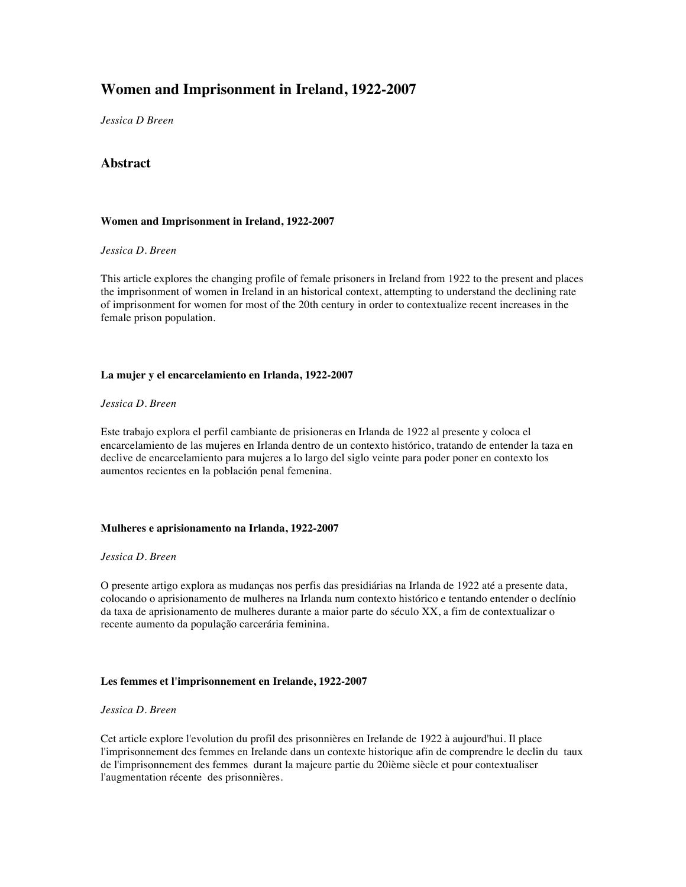# **Women and Imprisonment in Ireland, 1922-2007**

*Jessica D Breen*

# **Abstract**

## **Women and Imprisonment in Ireland, 1922-2007**

## *Jessica D. Breen*

This article explores the changing profile of female prisoners in Ireland from 1922 to the present and places the imprisonment of women in Ireland in an historical context, attempting to understand the declining rate of imprisonment for women for most of the 20th century in order to contextualize recent increases in the female prison population.

## **La mujer y el encarcelamiento en Irlanda, 1922-2007**

## *Jessica D. Breen*

Este trabajo explora el perfil cambiante de prisioneras en Irlanda de 1922 al presente y coloca el encarcelamiento de las mujeres en Irlanda dentro de un contexto histórico, tratando de entender la taza en declive de encarcelamiento para mujeres a lo largo del siglo veinte para poder poner en contexto los aumentos recientes en la población penal femenina.

#### **Mulheres e aprisionamento na Irlanda, 1922-2007**

#### *Jessica D. Breen*

O presente artigo explora as mudanças nos perfis das presidiárias na Irlanda de 1922 até a presente data, colocando o aprisionamento de mulheres na Irlanda num contexto histórico e tentando entender o declínio da taxa de aprisionamento de mulheres durante a maior parte do século XX, a fim de contextualizar o recente aumento da população carcerária feminina.

#### **Les femmes et l'imprisonnement en Irelande, 1922-2007**

## *Jessica D. Breen*

Cet article explore l'evolution du profil des prisonnières en Irelande de 1922 à aujourd'hui. Il place l'imprisonnement des femmes en Irelande dans un contexte historique afin de comprendre le declin du taux de l'imprisonnement des femmes durant la majeure partie du 20ième siècle et pour contextualiser l'augmentation récente des prisonnières.